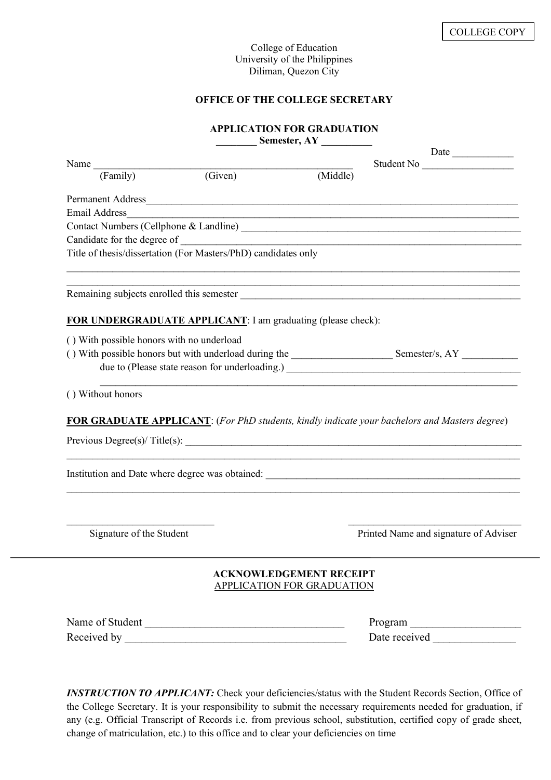### College of Education University of the Philippines Diliman, Quezon City

# **OFFICE OF THE COLLEGE SECRETARY**

# **APPLICATION FOR GRADUATION**

|                                                                |                             | Semester, AY                                                                                                                                                                                                                   |  |  |
|----------------------------------------------------------------|-----------------------------|--------------------------------------------------------------------------------------------------------------------------------------------------------------------------------------------------------------------------------|--|--|
|                                                                |                             |                                                                                                                                                                                                                                |  |  |
| Name<br>(Family)                                               | $\overline{\text{(Given)}}$ | Student No<br>(Middle)                                                                                                                                                                                                         |  |  |
|                                                                |                             |                                                                                                                                                                                                                                |  |  |
|                                                                |                             | Permanent Address                                                                                                                                                                                                              |  |  |
| <b>Email Address</b>                                           |                             |                                                                                                                                                                                                                                |  |  |
|                                                                |                             |                                                                                                                                                                                                                                |  |  |
|                                                                |                             | Candidate for the degree of example and the state of the degree of the state of the state of the state of the state of the state of the state of the state of the state of the state of the state of the state of the state of |  |  |
| Title of thesis/dissertation (For Masters/PhD) candidates only |                             | ,我们也不能在这里的人,我们也不能在这里的人,我们也不能在这里的人,我们也不能在这里的人,我们也不能在这里的人,我们也不能在这里的人,我们也不能在这里的人,我们也                                                                                                                                              |  |  |
|                                                                |                             |                                                                                                                                                                                                                                |  |  |
| FOR UNDERGRADUATE APPLICANT: I am graduating (please check):   |                             |                                                                                                                                                                                                                                |  |  |
| () With possible honors with no underload                      |                             |                                                                                                                                                                                                                                |  |  |
|                                                                |                             |                                                                                                                                                                                                                                |  |  |
|                                                                |                             |                                                                                                                                                                                                                                |  |  |
|                                                                |                             |                                                                                                                                                                                                                                |  |  |
| () Without honors                                              |                             |                                                                                                                                                                                                                                |  |  |
|                                                                |                             |                                                                                                                                                                                                                                |  |  |
|                                                                |                             | <b>FOR GRADUATE APPLICANT:</b> (For PhD students, kindly indicate your bachelors and Masters degree)                                                                                                                           |  |  |
|                                                                |                             |                                                                                                                                                                                                                                |  |  |
|                                                                |                             |                                                                                                                                                                                                                                |  |  |
|                                                                |                             |                                                                                                                                                                                                                                |  |  |
|                                                                |                             |                                                                                                                                                                                                                                |  |  |
|                                                                |                             |                                                                                                                                                                                                                                |  |  |
| Signature of the Student                                       |                             | Printed Name and signature of Adviser                                                                                                                                                                                          |  |  |
|                                                                |                             | <b>ACKNOWLEDGEMENT RECEIPT</b>                                                                                                                                                                                                 |  |  |
|                                                                |                             | <b>APPLICATION FOR GRADUATION</b>                                                                                                                                                                                              |  |  |
| Name of Student                                                |                             | Program                                                                                                                                                                                                                        |  |  |
|                                                                |                             |                                                                                                                                                                                                                                |  |  |
|                                                                |                             |                                                                                                                                                                                                                                |  |  |

*INSTRUCTION TO APPLICANT:* Check your deficiencies/status with the Student Records Section, Office of the College Secretary. It is your responsibility to submit the necessary requirements needed for graduation, if any (e.g. Official Transcript of Records i.e. from previous school, substitution, certified copy of grade sheet, change of matriculation, etc.) to this office and to clear your deficiencies on time